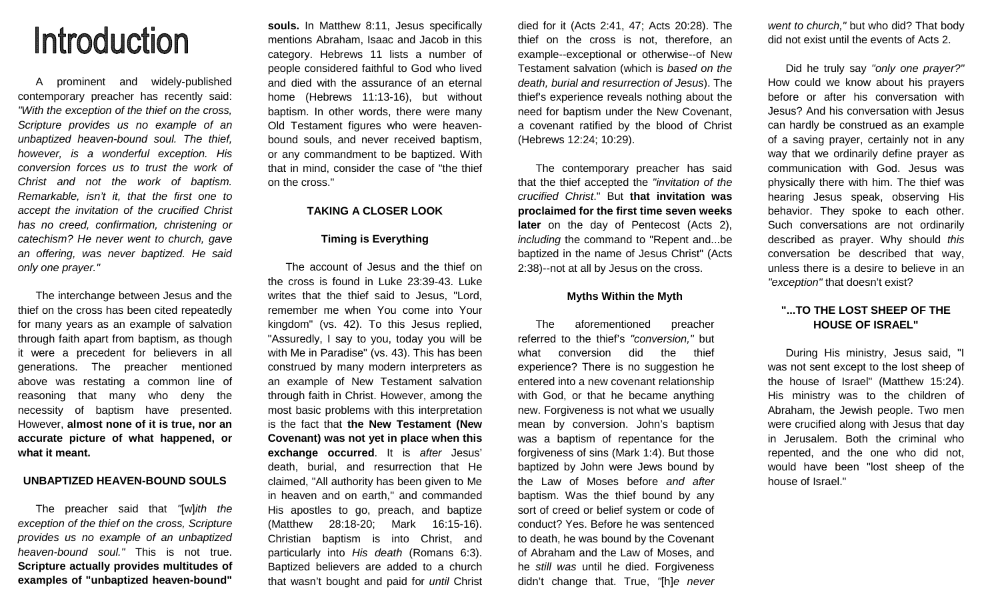# Introduction

 A prominent and widely-published contemporary preacher has recently said: "With the exception of the thief on the cross, Scripture provides us no example of an unbaptized heaven-bound soul. The thief, however, is a wonderful exception. His conversion forces us to trust the work of Christ and not the work of baptism. Remarkable, isn't it, that the first one to accept the invitation of the crucified Christ has no creed, confirmation, christening or catechism? He never went to church, gave an offering, was never baptized. He said only one prayer."

 The interchange between Jesus and the thief on the cross has been cited repeatedly for many years as an example of salvation through faith apart from baptism, as though it were a precedent for believers in all generations. The preacher mentioned above was restating a common line of reasoning that many who deny the necessity of baptism have presented. However, **almost none of it is true, nor an accurate picture of what happened, or what it meant.** 

# **UNBAPTIZED HEAVEN-BOUND SOULS**

 The preacher said that "[w]ith the exception of the thief on the cross, Scripture provides us no example of an unbaptized heaven-bound soul." This is not true. **Scripture actually provides multitudes of examples of "unbaptized heaven-bound"** 

**souls.** In Matthew 8:11, Jesus specifically mentions Abraham, Isaac and Jacob in this category. Hebrews 11 lists a number of people considered faithful to God who lived and died with the assurance of an eternal home (Hebrews 11:13-16), but without baptism. In other words, there were many Old Testament figures who were heavenbound souls, and never received baptism, or any commandment to be baptized. With that in mind, consider the case of "the thief on the cross."

# **TAKING A CLOSER LOOK**

## **Timing is Everything**

 The account of Jesus and the thief on the cross is found in Luke 23:39-43. Luke writes that the thief said to Jesus, "Lord, remember me when You come into Your kingdom" (vs. 42). To this Jesus replied, "Assuredly, I say to you, today you will be with Me in Paradise" (vs. 43). This has been construed by many modern interpreters as an example of New Testament salvation through faith in Christ. However, among the most basic problems with this interpretation is the fact that **the New Testament (New Covenant) was not yet in place when this exchange occurred**. It is after Jesus' death, burial, and resurrection that He claimed, "All authority has been given to Me in heaven and on earth," and commanded His apostles to go, preach, and baptize (Matthew 28:18-20; Mark 16:15-16). Christian baptism is into Christ, and particularly into His death (Romans 6:3). Baptized believers are added to a church that wasn't bought and paid for *until* Christ

died for it (Acts 2:41, 47; Acts 20:28). The thief on the cross is not, therefore, an example--exceptional or otherwise--of New Testament salvation (which is based on the death, burial and resurrection of Jesus). The thief's experience reveals nothing about the need for baptism under the New Covenant, a covenant ratified by the blood of Christ (Hebrews 12:24; 10:29).

 The contemporary preacher has said that the thief accepted the "invitation of the crucified Christ." But **that invitation was proclaimed for the first time seven weeks later** on the day of Pentecost (Acts 2), including the command to "Repent and...be baptized in the name of Jesus Christ" (Acts 2:38)--not at all by Jesus on the cross.

# **Myths Within the Myth**

 The aforementioned preacher referred to the thief's "conversion," but what conversion did the thief experience? There is no suggestion he entered into a new covenant relationship with God, or that he became anything new. Forgiveness is not what we usually mean by conversion. John's baptism was a baptism of repentance for the forgiveness of sins (Mark 1:4). But those baptized by John were Jews bound by the Law of Moses before and after baptism. Was the thief bound by any sort of creed or belief system or code of conduct? Yes. Before he was sentenced to death, he was bound by the Covenant of Abraham and the Law of Moses, and he still was until he died. Forgiveness didn't change that. True, "[h]e never

went to church," but who did? That body did not exist until the events of Acts 2.

 Did he truly say "only one prayer?" How could we know about his prayers before or after his conversation with Jesus? And his conversation with Jesus can hardly be construed as an example of a saving prayer, certainly not in any way that we ordinarily define prayer as communication with God. Jesus was physically there with him. The thief was hearing Jesus speak, observing His behavior. They spoke to each other. Such conversations are not ordinarily described as prayer. Why should this conversation be described that way, unless there is a desire to believe in an "exception" that doesn't exist?

# **"...TO THE LOST SHEEP OF THE HOUSE OF ISRAEL"**

 During His ministry, Jesus said, "I was not sent except to the lost sheep of the house of Israel" (Matthew 15:24). His ministry was to the children of Abraham, the Jewish people. Two men were crucified along with Jesus that day in Jerusalem. Both the criminal who repented, and the one who did not, would have been "lost sheep of the house of Israel."